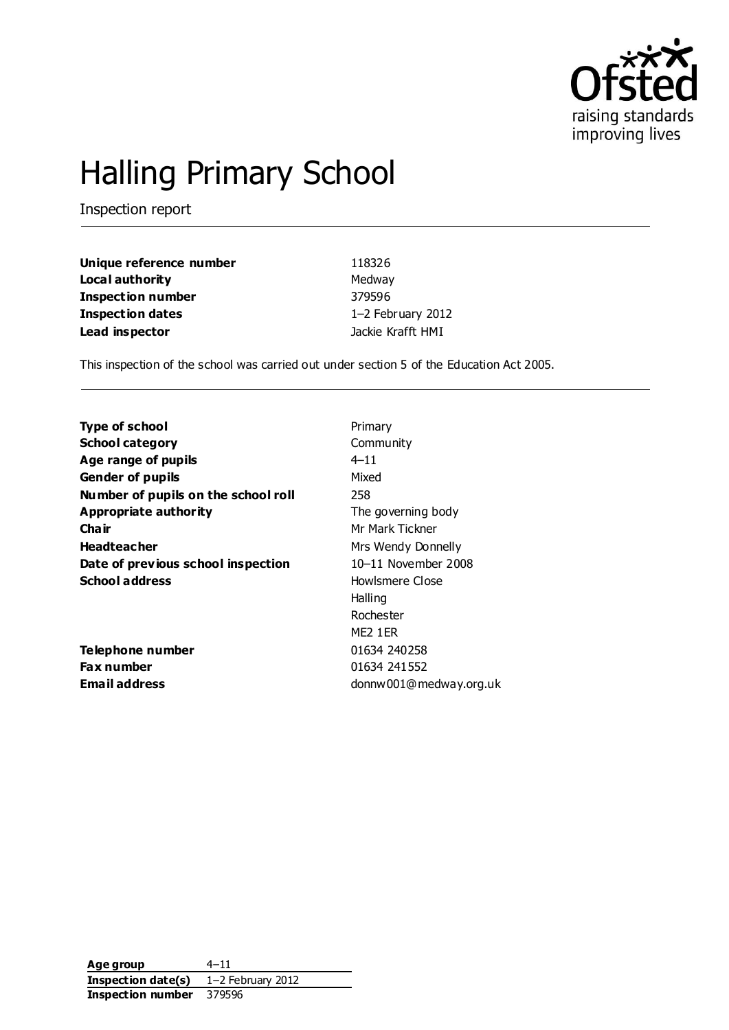

# Halling Primary School

Inspection report

| Unique reference number | 118326            |
|-------------------------|-------------------|
| Local authority         | Medway            |
| Inspection number       | 379596            |
| <b>Inspection dates</b> | 1-2 February 2012 |
| Lead inspector          | Jackie Krafft HMI |

This inspection of the school was carried out under section 5 of the Education Act 2005.

| <b>Type of school</b>               | Primary                |
|-------------------------------------|------------------------|
| <b>School category</b>              | Community              |
| Age range of pupils                 | $4 - 11$               |
| <b>Gender of pupils</b>             | Mixed                  |
| Number of pupils on the school roll | 258                    |
| <b>Appropriate authority</b>        | The governing body     |
| Cha ir                              | Mr Mark Tickner        |
| <b>Headteacher</b>                  | Mrs Wendy Donnelly     |
| Date of previous school inspection  | 10-11 November 2008    |
| <b>School address</b>               | Howlsmere Close        |
|                                     | Halling                |
|                                     | Rochester              |
|                                     | ME2 1 ER               |
| Telephone number                    | 01634 240258           |
| Fax number                          | 01634 241552           |
| <b>Email address</b>                | donnw001@medway.org.uk |
|                                     |                        |

**Age group** 4–11 **Inspection date(s)** 1–2 February 2012 **Inspection number** 379596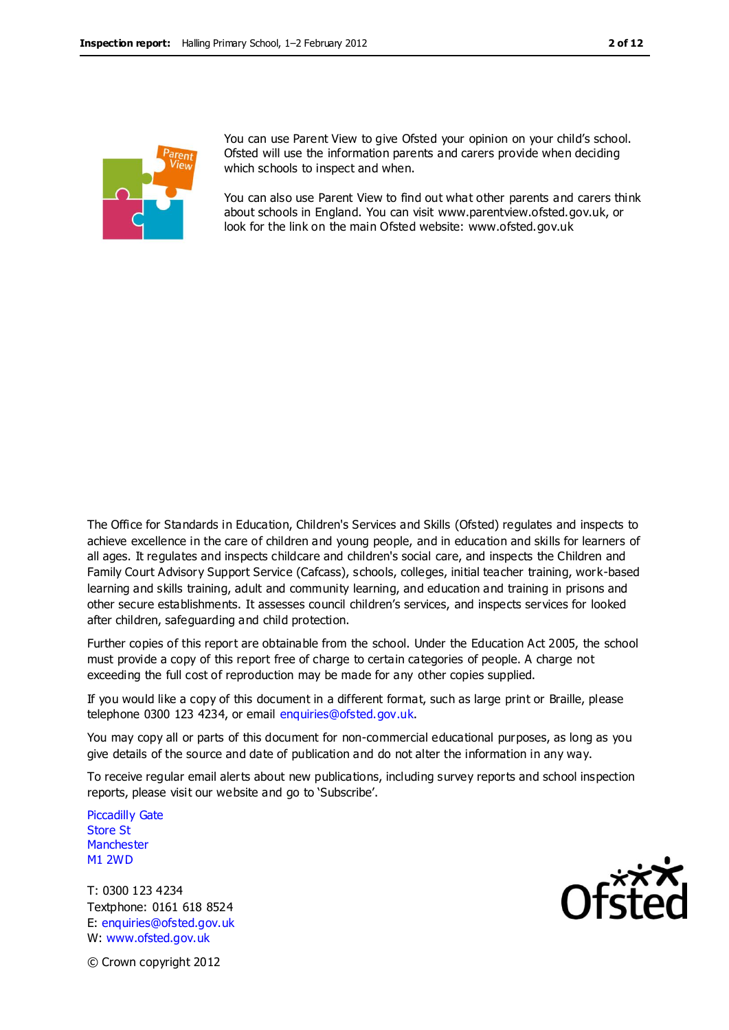

You can use Parent View to give Ofsted your opinion on your child's school. Ofsted will use the information parents and carers provide when deciding which schools to inspect and when.

You can also use Parent View to find out what other parents and carers think about schools in England. You can visit www.parentview.ofsted.gov.uk, or look for the link on the main Ofsted website: www.ofsted.gov.uk

The Office for Standards in Education, Children's Services and Skills (Ofsted) regulates and inspects to achieve excellence in the care of children and young people, and in education and skills for learners of all ages. It regulates and inspects childcare and children's social care, and inspects the Children and Family Court Advisory Support Service (Cafcass), schools, colleges, initial teacher training, work-based learning and skills training, adult and community learning, and education and training in prisons and other secure establishments. It assesses council children's services, and inspects services for looked after children, safeguarding and child protection.

Further copies of this report are obtainable from the school. Under the Education Act 2005, the school must provide a copy of this report free of charge to certain categories of people. A charge not exceeding the full cost of reproduction may be made for any other copies supplied.

If you would like a copy of this document in a different format, such as large print or Braille, please telephone 0300 123 4234, or email enquiries@ofsted.gov.uk.

You may copy all or parts of this document for non-commercial educational purposes, as long as you give details of the source and date of publication and do not alter the information in any way.

To receive regular email alerts about new publications, including survey reports and school inspection reports, please visit our website and go to 'Subscribe'.

Piccadilly Gate Store St **Manchester** M1 2WD

T: 0300 123 4234 Textphone: 0161 618 8524 E: enquiries@ofsted.gov.uk W: www.ofsted.gov.uk



© Crown copyright 2012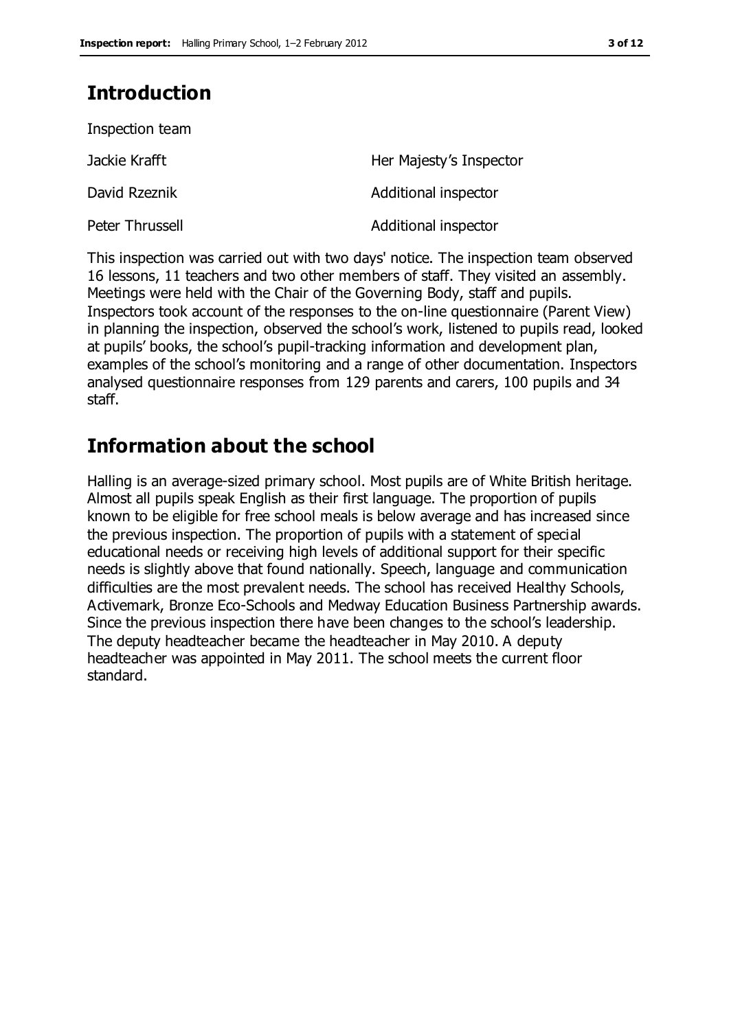## **Introduction**

| Inspection team |                         |
|-----------------|-------------------------|
| Jackie Krafft   | Her Majesty's Inspector |
| David Rzeznik   | Additional inspector    |
| Peter Thrussell | Additional inspector    |

This inspection was carried out with two days' notice. The inspection team observed 16 lessons, 11 teachers and two other members of staff. They visited an assembly. Meetings were held with the Chair of the Governing Body, staff and pupils. Inspectors took account of the responses to the on-line questionnaire (Parent View) in planning the inspection, observed the school's work, listened to pupils read, looked at pupils' books, the school's pupil-tracking information and development plan, examples of the school's monitoring and a range of other documentation. Inspectors analysed questionnaire responses from 129 parents and carers, 100 pupils and 34 staff.

## **Information about the school**

Halling is an average-sized primary school. Most pupils are of White British heritage. Almost all pupils speak English as their first language. The proportion of pupils known to be eligible for free school meals is below average and has increased since the previous inspection. The proportion of pupils with a statement of special educational needs or receiving high levels of additional support for their specific needs is slightly above that found nationally. Speech, language and communication difficulties are the most prevalent needs. The school has received Healthy Schools, Activemark, Bronze Eco-Schools and Medway Education Business Partnership awards. Since the previous inspection there have been changes to the school's leadership. The deputy headteacher became the headteacher in May 2010. A deputy headteacher was appointed in May 2011. The school meets the current floor standard.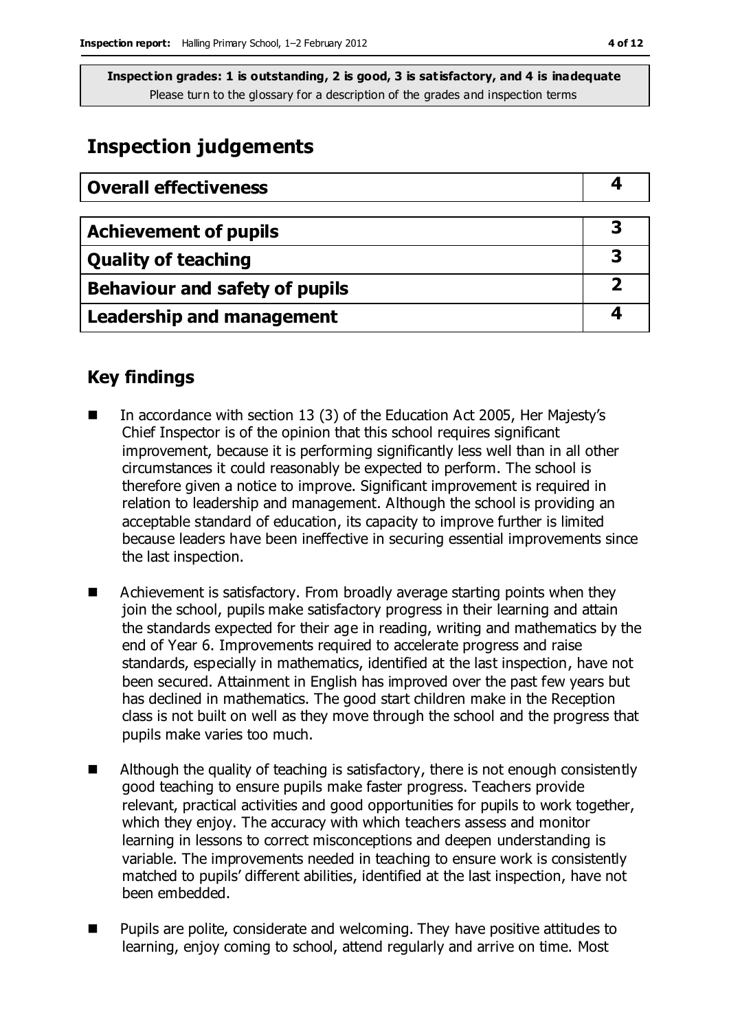## **Inspection judgements**

| <b>Overall effectiveness</b>          |  |
|---------------------------------------|--|
|                                       |  |
| <b>Achievement of pupils</b>          |  |
| <b>Quality of teaching</b>            |  |
| <b>Behaviour and safety of pupils</b> |  |
| <b>Leadership and management</b>      |  |

## **Key findings**

- In accordance with section 13 (3) of the Education Act 2005, Her Majesty's Chief Inspector is of the opinion that this school requires significant improvement, because it is performing significantly less well than in all other circumstances it could reasonably be expected to perform. The school is therefore given a notice to improve. Significant improvement is required in relation to leadership and management. Although the school is providing an acceptable standard of education, its capacity to improve further is limited because leaders have been ineffective in securing essential improvements since the last inspection.
- Achievement is satisfactory. From broadly average starting points when they join the school, pupils make satisfactory progress in their learning and attain the standards expected for their age in reading, writing and mathematics by the end of Year 6. Improvements required to accelerate progress and raise standards, especially in mathematics, identified at the last inspection, have not been secured. Attainment in English has improved over the past few years but has declined in mathematics. The good start children make in the Reception class is not built on well as they move through the school and the progress that pupils make varies too much.
- $\blacksquare$  Although the quality of teaching is satisfactory, there is not enough consistently good teaching to ensure pupils make faster progress. Teachers provide relevant, practical activities and good opportunities for pupils to work together, which they enjoy. The accuracy with which teachers assess and monitor learning in lessons to correct misconceptions and deepen understanding is variable. The improvements needed in teaching to ensure work is consistently matched to pupils' different abilities, identified at the last inspection, have not been embedded.
- Pupils are polite, considerate and welcoming. They have positive attitudes to learning, enjoy coming to school, attend regularly and arrive on time. Most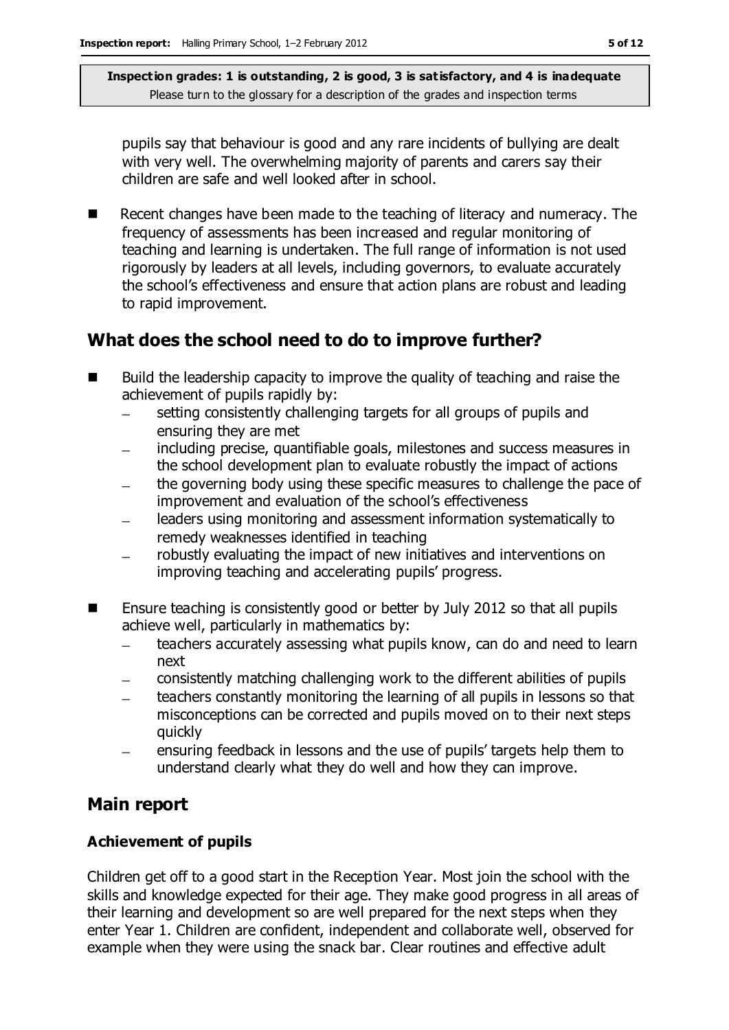pupils say that behaviour is good and any rare incidents of bullying are dealt with very well. The overwhelming majority of parents and carers say their children are safe and well looked after in school.

Recent changes have been made to the teaching of literacy and numeracy. The frequency of assessments has been increased and regular monitoring of teaching and learning is undertaken. The full range of information is not used rigorously by leaders at all levels, including governors, to evaluate accurately the school's effectiveness and ensure that action plans are robust and leading to rapid improvement.

## **What does the school need to do to improve further?**

- Build the leadership capacity to improve the quality of teaching and raise the achievement of pupils rapidly by:
	- setting consistently challenging targets for all groups of pupils and  $\equiv$ ensuring they are met
	- including precise, quantifiable goals, milestones and success measures in  $\equiv$ the school development plan to evaluate robustly the impact of actions
	- the governing body using these specific measures to challenge the pace of improvement and evaluation of the school's effectiveness
	- leaders using monitoring and assessment information systematically to remedy weaknesses identified in teaching
	- robustly evaluating the impact of new initiatives and interventions on improving teaching and accelerating pupils' progress.
- Ensure teaching is consistently good or better by July 2012 so that all pupils achieve well, particularly in mathematics by:
	- teachers accurately assessing what pupils know, can do and need to learn  $\overline{a}$ next
	- consistently matching challenging work to the different abilities of pupils
	- teachers constantly monitoring the learning of all pupils in lessons so that misconceptions can be corrected and pupils moved on to their next steps quickly
	- ensuring feedback in lessons and the use of pupils' targets help them to understand clearly what they do well and how they can improve.

## **Main report**

#### **Achievement of pupils**

Children get off to a good start in the Reception Year. Most join the school with the skills and knowledge expected for their age. They make good progress in all areas of their learning and development so are well prepared for the next steps when they enter Year 1. Children are confident, independent and collaborate well, observed for example when they were using the snack bar. Clear routines and effective adult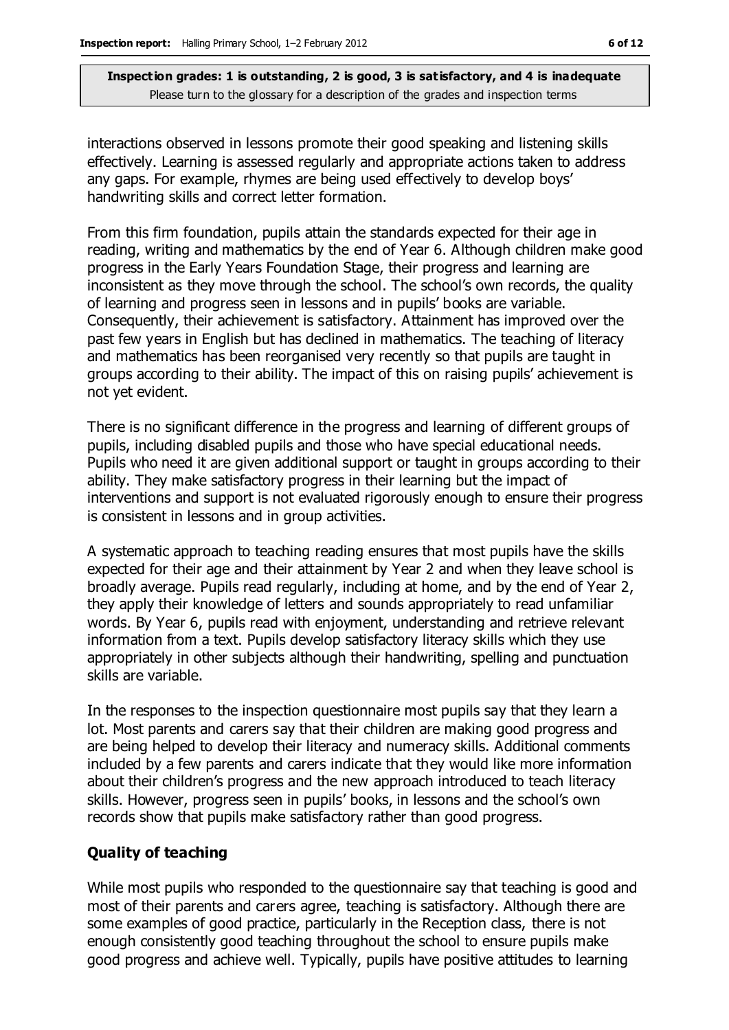interactions observed in lessons promote their good speaking and listening skills effectively. Learning is assessed regularly and appropriate actions taken to address any gaps. For example, rhymes are being used effectively to develop boys' handwriting skills and correct letter formation.

From this firm foundation, pupils attain the standards expected for their age in reading, writing and mathematics by the end of Year 6. Although children make good progress in the Early Years Foundation Stage, their progress and learning are inconsistent as they move through the school. The school's own records, the quality of learning and progress seen in lessons and in pupils' books are variable. Consequently, their achievement is satisfactory. Attainment has improved over the past few years in English but has declined in mathematics. The teaching of literacy and mathematics has been reorganised very recently so that pupils are taught in groups according to their ability. The impact of this on raising pupils' achievement is not yet evident.

There is no significant difference in the progress and learning of different groups of pupils, including disabled pupils and those who have special educational needs. Pupils who need it are given additional support or taught in groups according to their ability. They make satisfactory progress in their learning but the impact of interventions and support is not evaluated rigorously enough to ensure their progress is consistent in lessons and in group activities.

A systematic approach to teaching reading ensures that most pupils have the skills expected for their age and their attainment by Year 2 and when they leave school is broadly average. Pupils read regularly, including at home, and by the end of Year 2, they apply their knowledge of letters and sounds appropriately to read unfamiliar words. By Year 6, pupils read with enjoyment, understanding and retrieve relevant information from a text. Pupils develop satisfactory literacy skills which they use appropriately in other subjects although their handwriting, spelling and punctuation skills are variable.

In the responses to the inspection questionnaire most pupils say that they learn a lot. Most parents and carers say that their children are making good progress and are being helped to develop their literacy and numeracy skills. Additional comments included by a few parents and carers indicate that they would like more information about their children's progress and the new approach introduced to teach literacy skills. However, progress seen in pupils' books, in lessons and the school's own records show that pupils make satisfactory rather than good progress.

#### **Quality of teaching**

While most pupils who responded to the questionnaire say that teaching is good and most of their parents and carers agree, teaching is satisfactory. Although there are some examples of good practice, particularly in the Reception class, there is not enough consistently good teaching throughout the school to ensure pupils make good progress and achieve well. Typically, pupils have positive attitudes to learning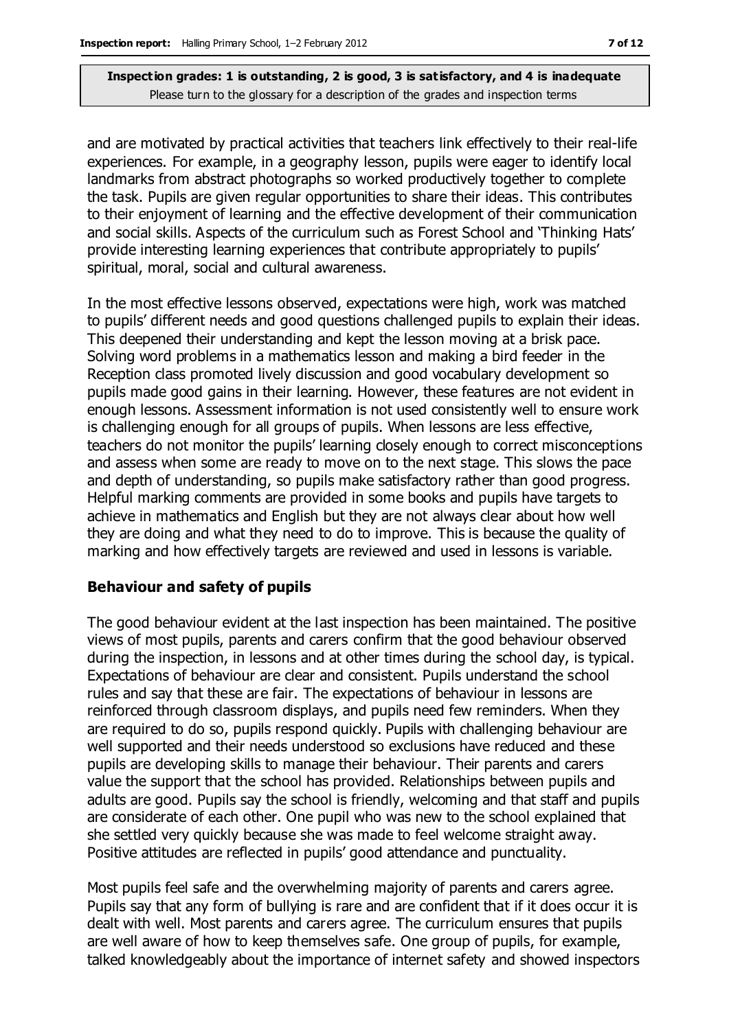and are motivated by practical activities that teachers link effectively to their real-life experiences. For example, in a geography lesson, pupils were eager to identify local landmarks from abstract photographs so worked productively together to complete the task. Pupils are given regular opportunities to share their ideas. This contributes to their enjoyment of learning and the effective development of their communication and social skills. Aspects of the curriculum such as Forest School and 'Thinking Hats' provide interesting learning experiences that contribute appropriately to pupils' spiritual, moral, social and cultural awareness.

In the most effective lessons observed, expectations were high, work was matched to pupils' different needs and good questions challenged pupils to explain their ideas. This deepened their understanding and kept the lesson moving at a brisk pace. Solving word problems in a mathematics lesson and making a bird feeder in the Reception class promoted lively discussion and good vocabulary development so pupils made good gains in their learning. However, these features are not evident in enough lessons. Assessment information is not used consistently well to ensure work is challenging enough for all groups of pupils. When lessons are less effective, teachers do not monitor the pupils' learning closely enough to correct misconceptions and assess when some are ready to move on to the next stage. This slows the pace and depth of understanding, so pupils make satisfactory rather than good progress. Helpful marking comments are provided in some books and pupils have targets to achieve in mathematics and English but they are not always clear about how well they are doing and what they need to do to improve. This is because the quality of marking and how effectively targets are reviewed and used in lessons is variable.

#### **Behaviour and safety of pupils**

The good behaviour evident at the last inspection has been maintained. The positive views of most pupils, parents and carers confirm that the good behaviour observed during the inspection, in lessons and at other times during the school day, is typical. Expectations of behaviour are clear and consistent. Pupils understand the school rules and say that these are fair. The expectations of behaviour in lessons are reinforced through classroom displays, and pupils need few reminders. When they are required to do so, pupils respond quickly. Pupils with challenging behaviour are well supported and their needs understood so exclusions have reduced and these pupils are developing skills to manage their behaviour. Their parents and carers value the support that the school has provided. Relationships between pupils and adults are good. Pupils say the school is friendly, welcoming and that staff and pupils are considerate of each other. One pupil who was new to the school explained that she settled very quickly because she was made to feel welcome straight away. Positive attitudes are reflected in pupils' good attendance and punctuality.

Most pupils feel safe and the overwhelming majority of parents and carers agree. Pupils say that any form of bullying is rare and are confident that if it does occur it is dealt with well. Most parents and carers agree. The curriculum ensures that pupils are well aware of how to keep themselves safe. One group of pupils, for example, talked knowledgeably about the importance of internet safety and showed inspectors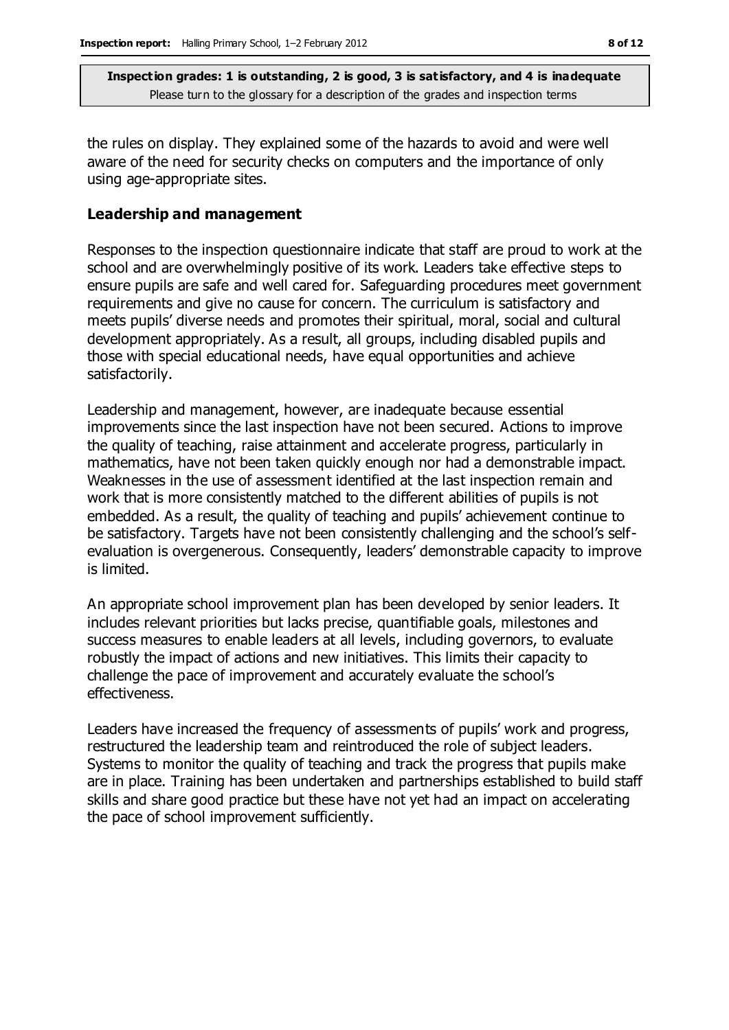the rules on display. They explained some of the hazards to avoid and were well aware of the need for security checks on computers and the importance of only using age-appropriate sites.

#### **Leadership and management**

Responses to the inspection questionnaire indicate that staff are proud to work at the school and are overwhelmingly positive of its work. Leaders take effective steps to ensure pupils are safe and well cared for. Safeguarding procedures meet government requirements and give no cause for concern. The curriculum is satisfactory and meets pupils' diverse needs and promotes their spiritual, moral, social and cultural development appropriately. As a result, all groups, including disabled pupils and those with special educational needs, have equal opportunities and achieve satisfactorily.

Leadership and management, however, are inadequate because essential improvements since the last inspection have not been secured. Actions to improve the quality of teaching, raise attainment and accelerate progress, particularly in mathematics, have not been taken quickly enough nor had a demonstrable impact. Weaknesses in the use of assessment identified at the last inspection remain and work that is more consistently matched to the different abilities of pupils is not embedded. As a result, the quality of teaching and pupils' achievement continue to be satisfactory. Targets have not been consistently challenging and the school's selfevaluation is overgenerous. Consequently, leaders' demonstrable capacity to improve is limited.

An appropriate school improvement plan has been developed by senior leaders. It includes relevant priorities but lacks precise, quantifiable goals, milestones and success measures to enable leaders at all levels, including governors, to evaluate robustly the impact of actions and new initiatives. This limits their capacity to challenge the pace of improvement and accurately evaluate the school's effectiveness.

Leaders have increased the frequency of assessments of pupils' work and progress, restructured the leadership team and reintroduced the role of subject leaders. Systems to monitor the quality of teaching and track the progress that pupils make are in place. Training has been undertaken and partnerships established to build staff skills and share good practice but these have not yet had an impact on accelerating the pace of school improvement sufficiently.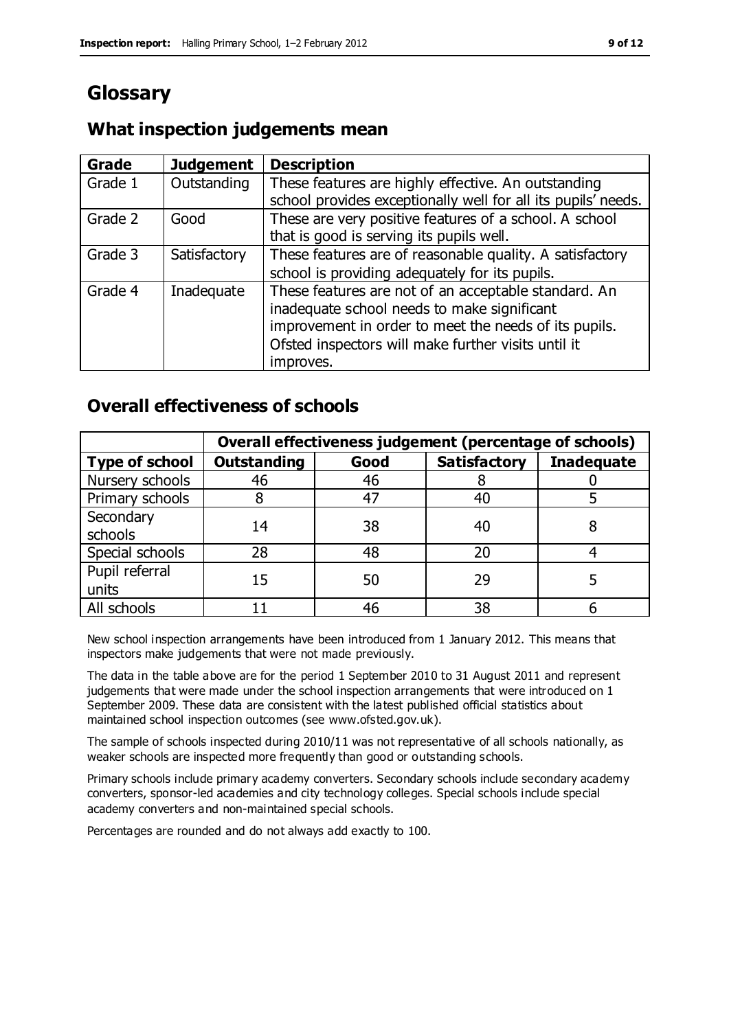# **Glossary**

## **What inspection judgements mean**

| Grade   | <b>Judgement</b> | <b>Description</b>                                            |
|---------|------------------|---------------------------------------------------------------|
| Grade 1 | Outstanding      | These features are highly effective. An outstanding           |
|         |                  | school provides exceptionally well for all its pupils' needs. |
| Grade 2 | Good             | These are very positive features of a school. A school        |
|         |                  | that is good is serving its pupils well.                      |
| Grade 3 | Satisfactory     | These features are of reasonable quality. A satisfactory      |
|         |                  | school is providing adequately for its pupils.                |
| Grade 4 | Inadequate       | These features are not of an acceptable standard. An          |
|         |                  | inadequate school needs to make significant                   |
|         |                  | improvement in order to meet the needs of its pupils.         |
|         |                  | Ofsted inspectors will make further visits until it           |
|         |                  | improves.                                                     |

## **Overall effectiveness of schools**

|                         | Overall effectiveness judgement (percentage of schools) |      |                     |                   |
|-------------------------|---------------------------------------------------------|------|---------------------|-------------------|
| <b>Type of school</b>   | <b>Outstanding</b>                                      | Good | <b>Satisfactory</b> | <b>Inadequate</b> |
| Nursery schools         | 46                                                      | 46   |                     |                   |
| Primary schools         |                                                         | 47   | 40                  |                   |
| Secondary<br>schools    | 14                                                      | 38   | 40                  |                   |
| Special schools         | 28                                                      | 48   | 20                  |                   |
| Pupil referral<br>units | 15                                                      | 50   | 29                  |                   |
| All schools             |                                                         | 46   | 38                  |                   |

New school inspection arrangements have been introduced from 1 January 2012. This means that inspectors make judgements that were not made previously.

The data in the table above are for the period 1 September 2010 to 31 August 2011 and represent judgements that were made under the school inspection arrangements that were introduced on 1 September 2009. These data are consistent with the latest published official statistics about maintained school inspection outcomes (see www.ofsted.gov.uk).

The sample of schools inspected during 2010/11 was not representative of all schools nationally, as weaker schools are inspected more frequently than good or outstanding schools.

Primary schools include primary academy converters. Secondary schools include secondary academy converters, sponsor-led academies and city technology colleges. Special schools include special academy converters and non-maintained special schools.

Percentages are rounded and do not always add exactly to 100.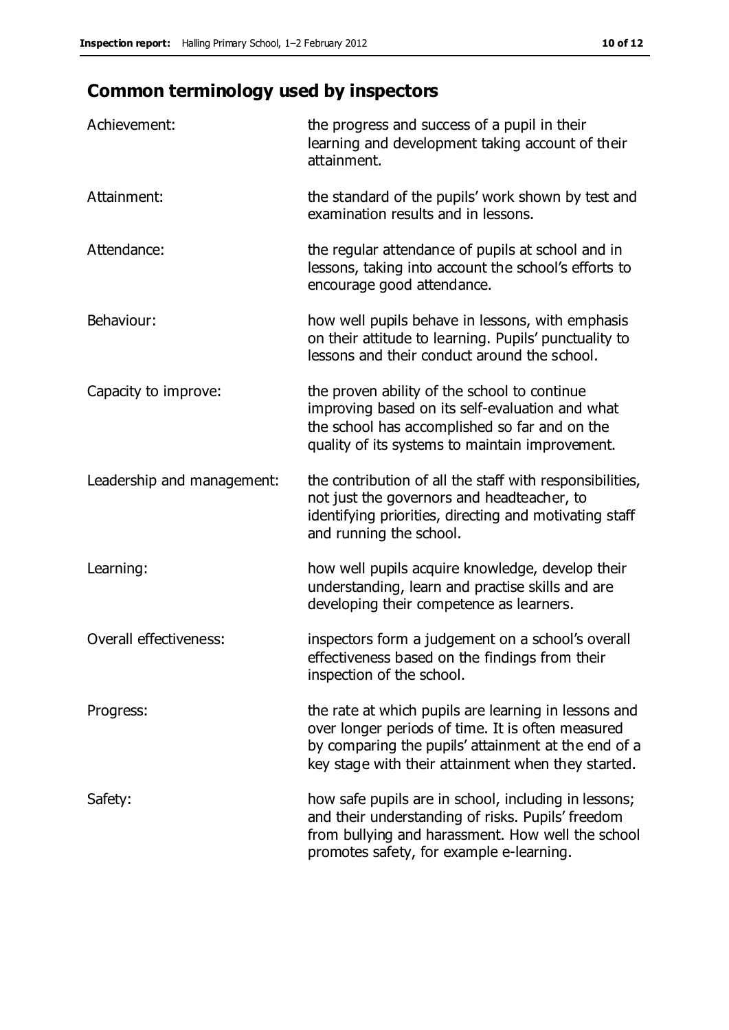# **Common terminology used by inspectors**

| Achievement:                  | the progress and success of a pupil in their<br>learning and development taking account of their<br>attainment.                                                                                                        |
|-------------------------------|------------------------------------------------------------------------------------------------------------------------------------------------------------------------------------------------------------------------|
| Attainment:                   | the standard of the pupils' work shown by test and<br>examination results and in lessons.                                                                                                                              |
| Attendance:                   | the regular attendance of pupils at school and in<br>lessons, taking into account the school's efforts to<br>encourage good attendance.                                                                                |
| Behaviour:                    | how well pupils behave in lessons, with emphasis<br>on their attitude to learning. Pupils' punctuality to<br>lessons and their conduct around the school.                                                              |
| Capacity to improve:          | the proven ability of the school to continue<br>improving based on its self-evaluation and what<br>the school has accomplished so far and on the<br>quality of its systems to maintain improvement.                    |
| Leadership and management:    | the contribution of all the staff with responsibilities,<br>not just the governors and headteacher, to<br>identifying priorities, directing and motivating staff<br>and running the school.                            |
| Learning:                     | how well pupils acquire knowledge, develop their<br>understanding, learn and practise skills and are<br>developing their competence as learners.                                                                       |
| <b>Overall effectiveness:</b> | inspectors form a judgement on a school's overall<br>effectiveness based on the findings from their<br>inspection of the school.                                                                                       |
| Progress:                     | the rate at which pupils are learning in lessons and<br>over longer periods of time. It is often measured<br>by comparing the pupils' attainment at the end of a<br>key stage with their attainment when they started. |
| Safety:                       | how safe pupils are in school, including in lessons;<br>and their understanding of risks. Pupils' freedom<br>from bullying and harassment. How well the school<br>promotes safety, for example e-learning.             |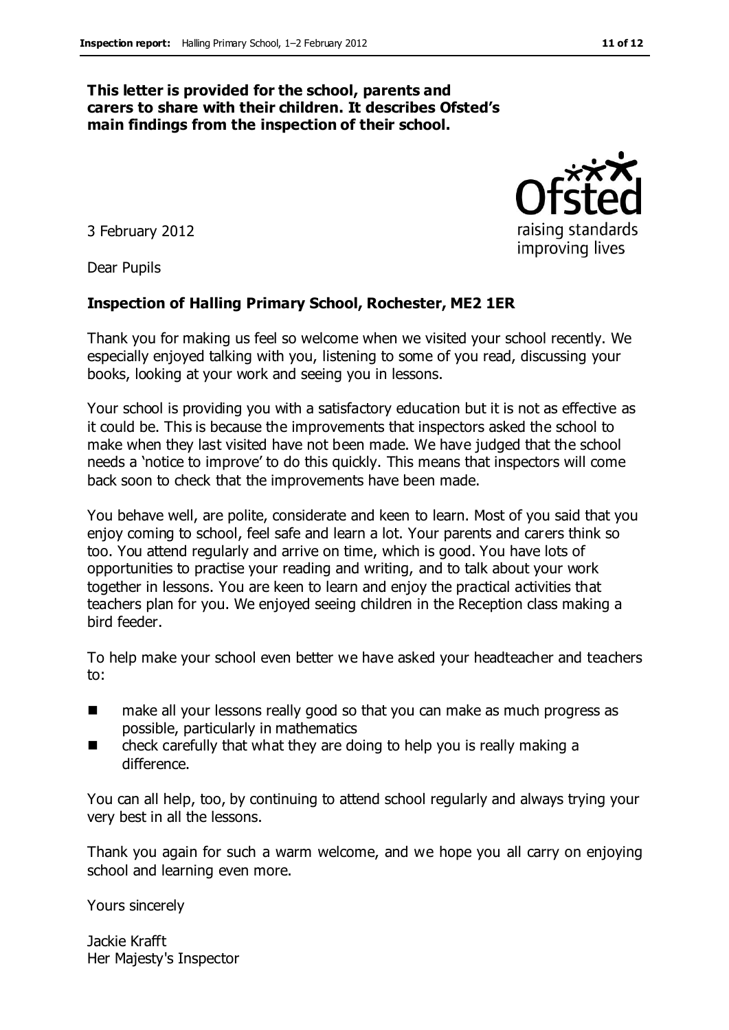#### **This letter is provided for the school, parents and carers to share with their children. It describes Ofsted's main findings from the inspection of their school.**

3 February 2012

Dear Pupils

#### **Inspection of Halling Primary School, Rochester, ME2 1ER**

Thank you for making us feel so welcome when we visited your school recently. We especially enjoyed talking with you, listening to some of you read, discussing your books, looking at your work and seeing you in lessons.

Your school is providing you with a satisfactory education but it is not as effective as it could be. This is because the improvements that inspectors asked the school to make when they last visited have not been made. We have judged that the school needs a 'notice to improve' to do this quickly. This means that inspectors will come back soon to check that the improvements have been made.

You behave well, are polite, considerate and keen to learn. Most of you said that you enjoy coming to school, feel safe and learn a lot. Your parents and carers think so too. You attend regularly and arrive on time, which is good. You have lots of opportunities to practise your reading and writing, and to talk about your work together in lessons. You are keen to learn and enjoy the practical activities that teachers plan for you. We enjoyed seeing children in the Reception class making a bird feeder.

To help make your school even better we have asked your headteacher and teachers to:

- make all your lessons really good so that you can make as much progress as possible, particularly in mathematics
- check carefully that what they are doing to help you is really making a difference.

You can all help, too, by continuing to attend school regularly and always trying your very best in all the lessons.

Thank you again for such a warm welcome, and we hope you all carry on enjoying school and learning even more.

Yours sincerely

Jackie Krafft Her Majesty's Inspector